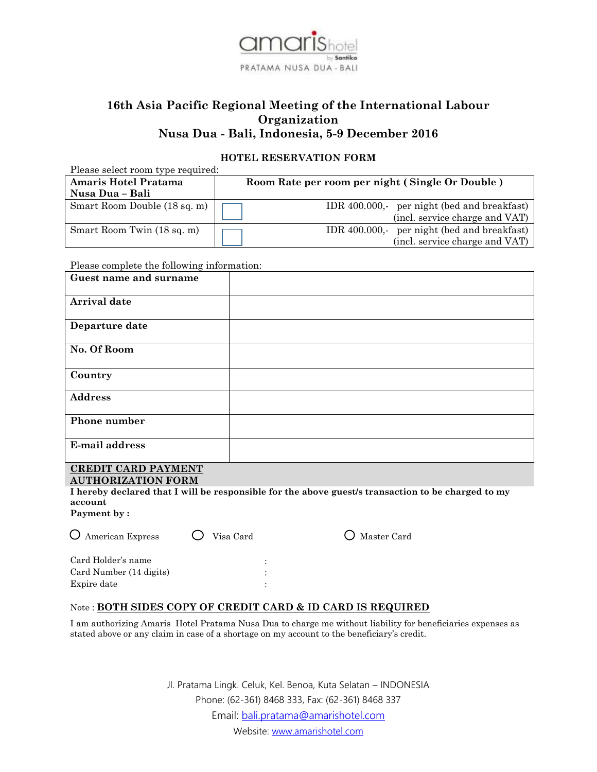

# **16th Asia Pacific Regional Meeting of the International Labour Organization Nusa Dua - Bali, Indonesia, 5-9 December 2016**

# **HOTEL RESERVATION FORM**

| Please select room type required: |                                                 |  |  |  |  |
|-----------------------------------|-------------------------------------------------|--|--|--|--|
| Amaris Hotel Pratama              | Room Rate per room per night (Single Or Double) |  |  |  |  |
| Nusa Dua – Bali                   |                                                 |  |  |  |  |
| Smart Room Double (18 sq. m)      | IDR 400.000,- per night (bed and breakfast)     |  |  |  |  |
|                                   | (incl. service charge and VAT)                  |  |  |  |  |
| Smart Room Twin (18 sq. m)        | IDR 400.000, per night (bed and breakfast)      |  |  |  |  |
|                                   | (incl. service charge and VAT)                  |  |  |  |  |

Please complete the following information:

| Guest name and surname                       |  |
|----------------------------------------------|--|
| Arrival date                                 |  |
| Departure date                               |  |
| No. Of Room                                  |  |
| Country                                      |  |
| <b>Address</b>                               |  |
| Phone number                                 |  |
| E-mail address                               |  |
| $\alpha$ proven $\alpha$ ipp $\alpha$ iturum |  |

#### **CREDIT CARD PAYMENT AUTHORIZATION FORM**

**I hereby declared that I will be responsible for the above guest/s transaction to be charged to my account**

 $\bigcirc$  Master Card

**Payment by :**

| O American Express      | $\bigcirc$ Visa Card |   |
|-------------------------|----------------------|---|
| Card Holder's name      |                      |   |
| Card Number (14 digits) |                      |   |
| Expire date             |                      | ٠ |

# Note : **BOTH SIDES COPY OF CREDIT CARD & ID CARD IS REQUIRED**

I am authorizing Amaris Hotel Pratama Nusa Dua to charge me without liability for beneficiaries expenses as stated above or any claim in case of a shortage on my account to the beneficiary's credit.

> Jl. Pratama Lingk. Celuk, Kel. Benoa, Kuta Selatan – INDONESIA Phone: (62-361) 8468 333, Fax: (62-361) 8468 337 Email: [bali.pratama@amarishotel.com](mailto:bali.pratama@amarishotel.com) Website: [www.amarishotel.com](http://www.amarishotel.com/)